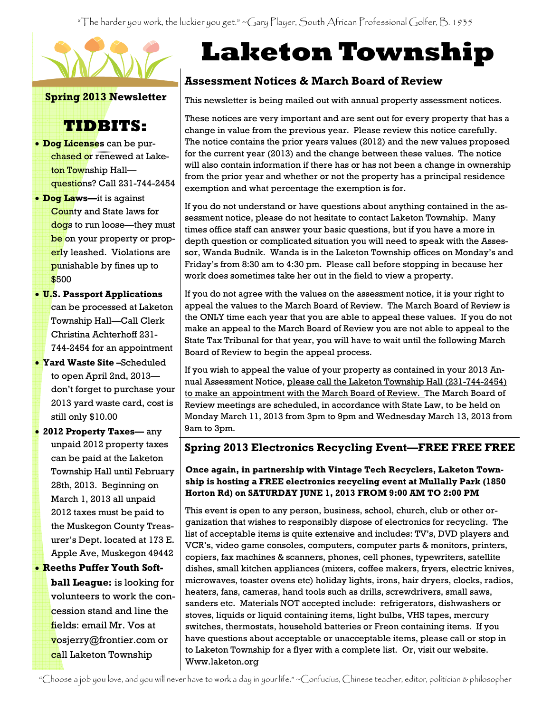"The harder you work, the luckier you get." ~Gary Player, South African Professional Golfer, B. 1935



Spring 2013 Newsletter

# TIDBITS:

- **Dog Licenses** can be purchased or renewed at Laketon Township Hall questions? Call 231-744-2454
- Dog Laws—it is against County and State laws for dogs to run loose—they must be on your property or properly leashed. Violations are punishable by fines up to \$500
- U.S. Passport Applications can be processed at Laketon Township Hall—Call Clerk Christina Achterhoff 231- 744-2454 for an appointment
- Yard Waste Site –Scheduled to open April 2nd, 2013 don't forget to purchase your 2013 yard waste card, cost is still only \$10.00
- 2012 Property Taxes— any unpaid 2012 property taxes can be paid at the Laketon Township Hall until February 28th, 2013. Beginning on March 1, 2013 all unpaid 2012 taxes must be paid to the Muskegon County Treasurer's Dept. located at 173 E. Apple Ave, Muskegon 49442

#### • Reeths Puffer Youth Soft-

ball League: is looking for volunteers to work the concession stand and line the fields: email Mr. Vos at vosjerry@frontier.com or call Laketon Township

# Laketon Township

## Assessment Notices & March Board of Review

This newsletter is being mailed out with annual property assessment notices.

These notices are very important and are sent out for every property that has a change in value from the previous year. Please review this notice carefully. The notice contains the prior years values (2012) and the new values proposed for the current year (2013) and the change between these values. The notice will also contain information if there has or has not been a change in ownership from the prior year and whether or not the property has a principal residence exemption and what percentage the exemption is for.

If you do not understand or have questions about anything contained in the assessment notice, please do not hesitate to contact Laketon Township. Many times office staff can answer your basic questions, but if you have a more in depth question or complicated situation you will need to speak with the Assessor, Wanda Budnik. Wanda is in the Laketon Township offices on Monday's and Friday's from 8:30 am to 4:30 pm. Please call before stopping in because her work does sometimes take her out in the field to view a property.

If you do not agree with the values on the assessment notice, it is your right to appeal the values to the March Board of Review. The March Board of Review is the ONLY time each year that you are able to appeal these values. If you do not make an appeal to the March Board of Review you are not able to appeal to the State Tax Tribunal for that year, you will have to wait until the following March Board of Review to begin the appeal process.

If you wish to appeal the value of your property as contained in your 2013 Annual Assessment Notice, please call the Laketon Township Hall (231-744-2454) to make an appointment with the March Board of Review. The March Board of Review meetings are scheduled, in accordance with State Law, to be held on Monday March 11, 2013 from 3pm to 9pm and Wednesday March 13, 2013 from 9am to 3pm.

#### Spring 2013 Electronics Recycling Event—FREE FREE FREE

#### Once again, in partnership with Vintage Tech Recyclers, Laketon Township is hosting a FREE electronics recycling event at Mullally Park (1850 Horton Rd) on SATURDAY JUNE 1, 2013 FROM 9:00 AM TO 2:00 PM

This event is open to any person, business, school, church, club or other organization that wishes to responsibly dispose of electronics for recycling. The list of acceptable items is quite extensive and includes: TV's, DVD players and VCR's, video game consoles, computers, computer parts & monitors, printers, copiers, fax machines & scanners, phones, cell phones, typewriters, satellite dishes, small kitchen appliances (mixers, coffee makers, fryers, electric knives, microwaves, toaster ovens etc) holiday lights, irons, hair dryers, clocks, radios, heaters, fans, cameras, hand tools such as drills, screwdrivers, small saws, sanders etc. Materials NOT accepted include: refrigerators, dishwashers or stoves, liquids or liquid containing items, light bulbs, VHS tapes, mercury switches, thermostats, household batteries or Freon containing items. If you have questions about acceptable or unacceptable items, please call or stop in to Laketon Township for a flyer with a complete list. Or, visit our website. Www.laketon.org

"Choose a job you love, and you will never have to work a day in your life." ~Confucius, Chinese teacher, editor, politician & philosopher